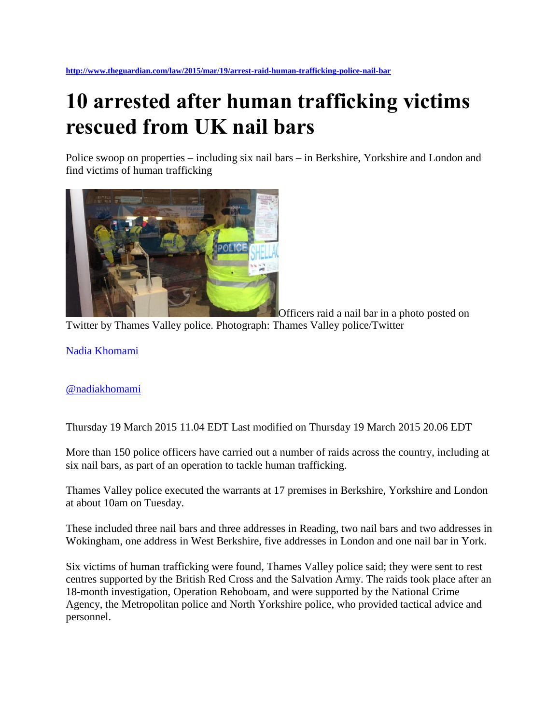## **10 arrested after human trafficking victims rescued from UK nail bars**

Police swoop on properties – including six nail bars – in Berkshire, Yorkshire and London and find victims of human trafficking



Officers raid a nail bar in a photo posted on

Twitter by Thames Valley police. Photograph: Thames Valley police/Twitter

[Nadia Khomami](http://www.theguardian.com/profile/nadia-khomami)

## [@nadiakhomami](http://twitter.com/nadiakhomami)

Thursday 19 March 2015 11.04 EDT Last modified on Thursday 19 March 2015 20.06 EDT

More than 150 police officers have carried out a number of raids across the country, including at six nail bars, as part of an operation to tackle human trafficking.

Thames Valley police executed the warrants at 17 premises in Berkshire, Yorkshire and London at about 10am on Tuesday.

These included three nail bars and three addresses in Reading, two nail bars and two addresses in Wokingham, one address in West Berkshire, five addresses in London and one nail bar in York.

Six victims of human trafficking were found, Thames Valley police said; they were sent to rest centres supported by the British Red Cross and the Salvation Army. The raids took place after an 18-month investigation, Operation Rehoboam, and were supported by the National Crime Agency, the Metropolitan police and North Yorkshire police, who provided tactical advice and personnel.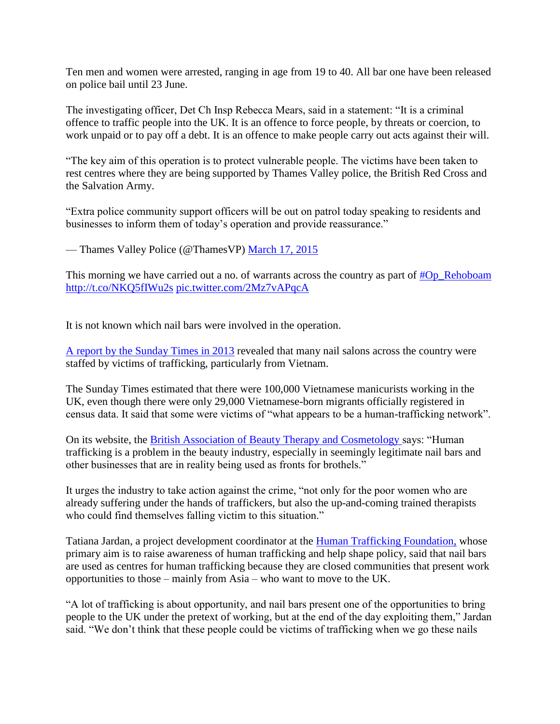Ten men and women were arrested, ranging in age from 19 to 40. All bar one have been released on police bail until 23 June.

The investigating officer, Det Ch Insp Rebecca Mears, said in a statement: "It is a criminal offence to traffic people into the UK. It is an offence to force people, by threats or coercion, to work unpaid or to pay off a debt. It is an offence to make people carry out acts against their will.

"The key aim of this operation is to protect vulnerable people. The victims have been taken to rest centres where they are being supported by Thames Valley police, the British Red Cross and the Salvation Army.

"Extra police community support officers will be out on patrol today speaking to residents and businesses to inform them of today's operation and provide reassurance."

— Thames Valley Police (@ThamesVP) [March 17, 2015](https://twitter.com/ThamesVP/status/577798105862692864)

This morning we have carried out a no. of warrants across the country as part of  $\#Op$  Rehoboam <http://t.co/NKQ5fIWu2s> [pic.twitter.com/2Mz7vAPqcA](http://t.co/2Mz7vAPqcA)

It is not known which nail bars were involved in the operation.

[A report by the Sunday Times in 2013](http://www.thesundaytimes.co.uk/sto/news/uk_news/Society/article1302165.ece) revealed that many nail salons across the country were staffed by victims of trafficking, particularly from Vietnam.

The Sunday Times estimated that there were 100,000 Vietnamese manicurists working in the UK, even though there were only 29,000 Vietnamese-born migrants officially registered in census data. It said that some were victims of "what appears to be a human-trafficking network".

On its website, the [British Association of Beauty Therapy and Cosmetology s](http://www.babtac.com/human-trafficking/)ays: "Human trafficking is a problem in the beauty industry, especially in seemingly legitimate nail bars and other businesses that are in reality being used as fronts for brothels."

It urges the industry to take action against the crime, "not only for the poor women who are already suffering under the hands of traffickers, but also the up-and-coming trained therapists who could find themselves falling victim to this situation."

Tatiana Jardan, a project development coordinator at the [Human Trafficking Foundation,](http://www.humantraffickingfoundation.org/) whose primary aim is to raise awareness of human trafficking and help shape policy, said that nail bars are used as centres for human trafficking because they are closed communities that present work opportunities to those – mainly from Asia – who want to move to the UK.

"A lot of trafficking is about opportunity, and nail bars present one of the opportunities to bring people to the UK under the pretext of working, but at the end of the day exploiting them," Jardan said. "We don't think that these people could be victims of trafficking when we go these nails